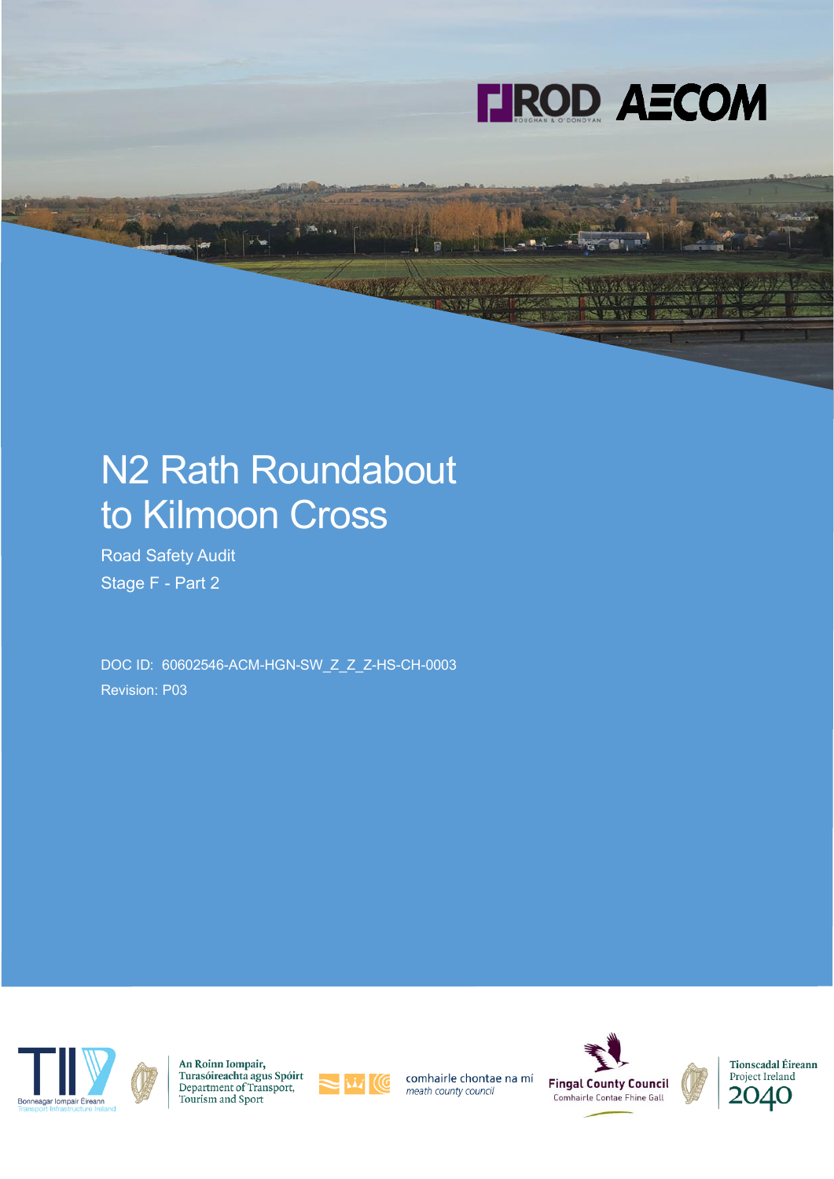

# N2 Rath Roundabout to Kilmoon Cross

Road Safety Audit Stage F - Part 2

DOC ID: 60602546-ACM-HGN-SW\_Z\_Z\_Z-HS-CH-0003 Revision: P03



An Roinn Iompair, Turasóireachta agus Spóirt Department of Transport, Tourism and Sport



comhairle chontae na mí meath county council



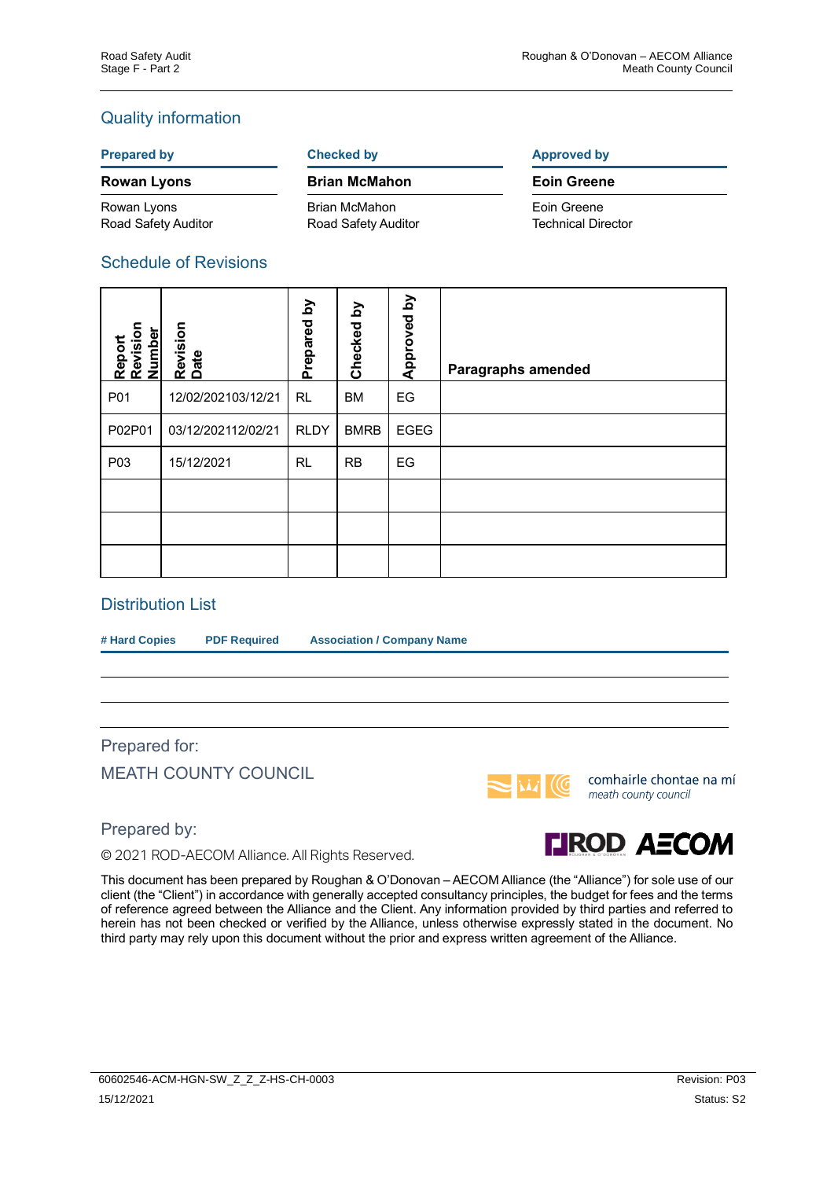### Quality information

#### **Rowan Lyons Brian McMahon Eoin Greene**

Rowan Lyons Road Safety Auditor

Brian McMahon Road Safety Auditor

**Prepared by Checked by Checked by Approved by** 

# Eoin Greene

Technical Director

### Schedule of Revisions

| Report<br>Revision<br><b>Number</b> | Revision<br>Date   | λá<br>Prepared | λđ<br>Checked | λq<br>Approved | <b>Paragraphs amended</b> |
|-------------------------------------|--------------------|----------------|---------------|----------------|---------------------------|
| P01                                 | 12/02/202103/12/21 | <b>RL</b>      | <b>BM</b>     | EG             |                           |
| P02P01                              | 03/12/202112/02/21 | <b>RLDY</b>    | <b>BMRB</b>   | <b>EGEG</b>    |                           |
| P03                                 | 15/12/2021         | <b>RL</b>      | <b>RB</b>     | EG             |                           |
|                                     |                    |                |               |                |                           |
|                                     |                    |                |               |                |                           |
|                                     |                    |                |               |                |                           |

### Distribution List

**# Hard Copies PDF Required Association / Company Name**

# Prepared for: MEATH COUNTY COUNCIL



comhairle chontae na mí meath county council

Prepared by:

© 2021 ROD-AECOM Alliance. All Rights Reserved.



This document has been prepared by Roughan & O'Donovan – AECOM Alliance (the "Alliance") for sole use of our client (the "Client") in accordance with generally accepted consultancy principles, the budget for fees and the terms of reference agreed between the Alliance and the Client. Any information provided by third parties and referred to herein has not been checked or verified by the Alliance, unless otherwise expressly stated in the document. No third party may rely upon this document without the prior and express written agreement of the Alliance.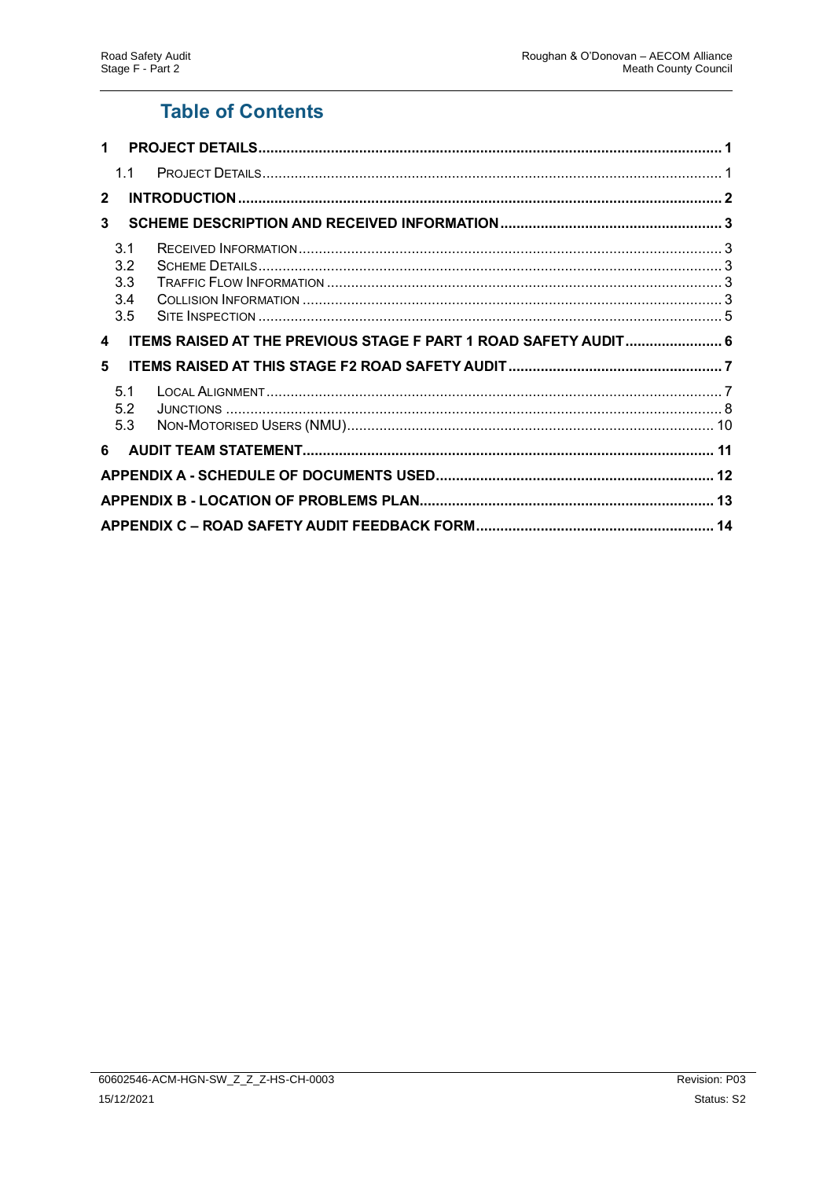# **Table of Contents**

| $\mathbf 1$  |                                 |                                                                 |  |  |  |
|--------------|---------------------------------|-----------------------------------------------------------------|--|--|--|
|              | 1.1                             |                                                                 |  |  |  |
| $\mathbf{2}$ |                                 |                                                                 |  |  |  |
| 3            |                                 |                                                                 |  |  |  |
|              | 3.1<br>3.2<br>3.3<br>3.4<br>3.5 |                                                                 |  |  |  |
| 4            |                                 | ITEMS RAISED AT THE PREVIOUS STAGE F PART 1 ROAD SAFETY AUDIT 6 |  |  |  |
| 5            |                                 |                                                                 |  |  |  |
|              | 5.1<br>5.2<br>5.3               |                                                                 |  |  |  |
| 6            |                                 |                                                                 |  |  |  |
|              |                                 |                                                                 |  |  |  |
|              |                                 |                                                                 |  |  |  |
|              |                                 |                                                                 |  |  |  |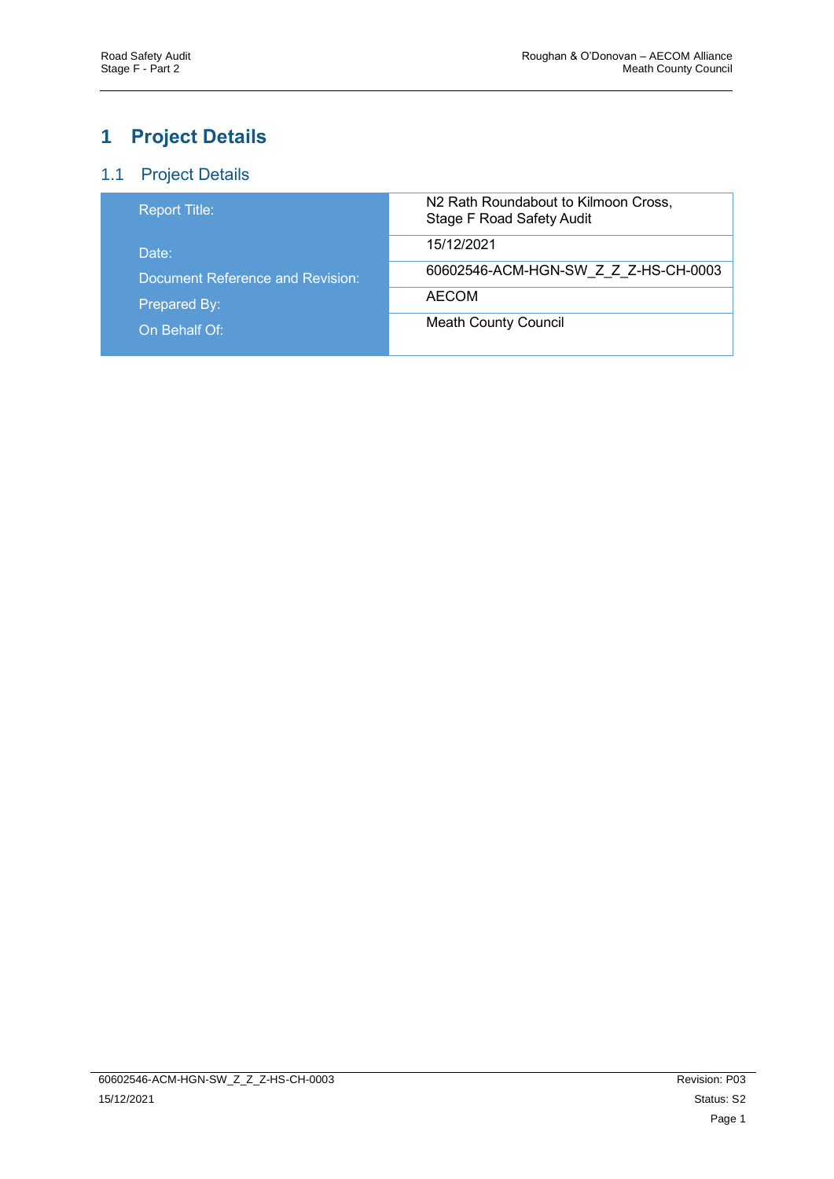# <span id="page-3-0"></span>**1 Project Details**

### <span id="page-3-1"></span>1.1 Project Details

| <b>Report Title:</b>             | N2 Rath Roundabout to Kilmoon Cross,<br><b>Stage F Road Safety Audit</b> |
|----------------------------------|--------------------------------------------------------------------------|
| Date:                            | 15/12/2021                                                               |
| Document Reference and Revision: | 60602546-ACM-HGN-SW Z Z Z-HS-CH-0003                                     |
| Prepared By:                     | AECOM                                                                    |
| On Behalf Of:                    | <b>Meath County Council</b>                                              |
|                                  |                                                                          |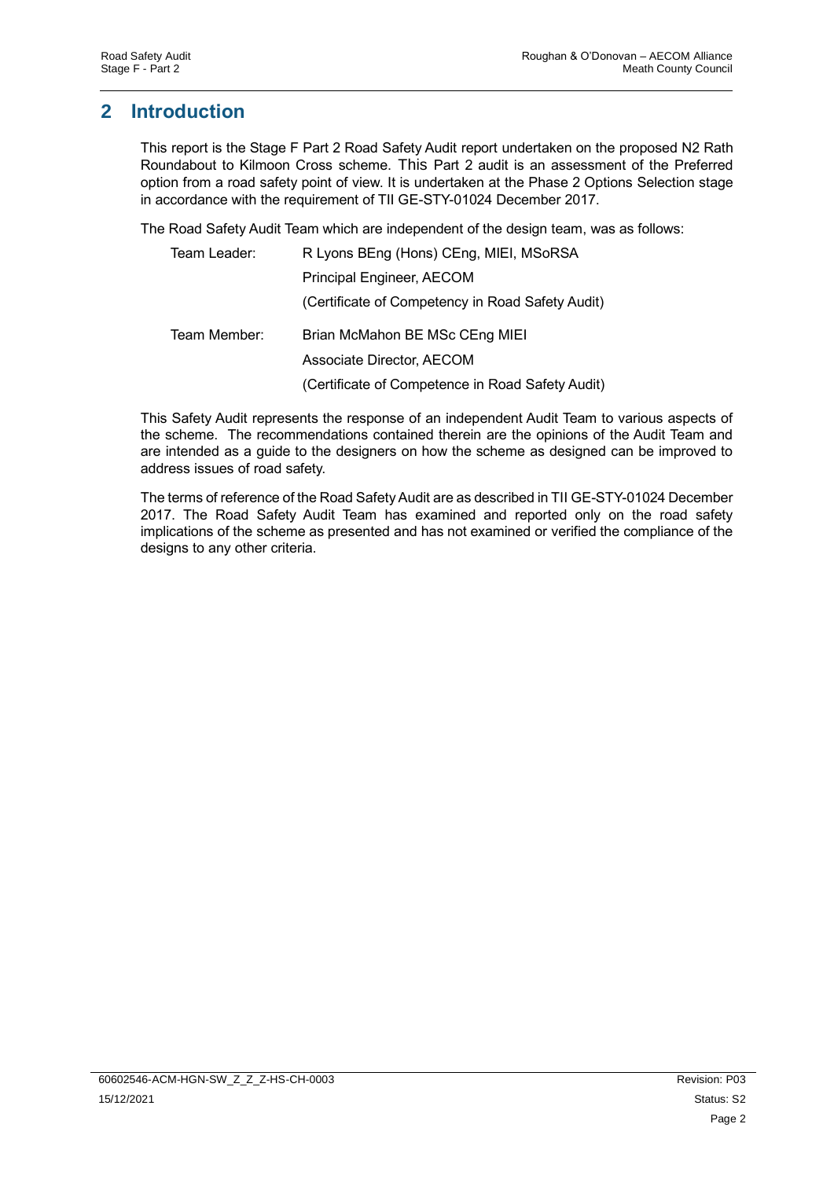# <span id="page-4-0"></span>**2 Introduction**

This report is the Stage F Part 2 Road Safety Audit report undertaken on the proposed N2 Rath Roundabout to Kilmoon Cross scheme. This Part 2 audit is an assessment of the Preferred option from a road safety point of view. It is undertaken at the Phase 2 Options Selection stage in accordance with the requirement of TII GE-STY-01024 December 2017.

The Road Safety Audit Team which are independent of the design team, was as follows:

| Team Leader: | R Lyons BEng (Hons) CEng, MIEI, MSoRSA           |
|--------------|--------------------------------------------------|
|              | Principal Engineer, AECOM                        |
|              | (Certificate of Competency in Road Safety Audit) |
| Team Member: | Brian McMahon BE MSc CEng MIEI                   |
|              | Associate Director, AECOM                        |
|              | (Certificate of Competence in Road Safety Audit) |

This Safety Audit represents the response of an independent Audit Team to various aspects of the scheme. The recommendations contained therein are the opinions of the Audit Team and are intended as a guide to the designers on how the scheme as designed can be improved to address issues of road safety.

The terms of reference of the Road Safety Audit are as described in TII GE-STY-01024 December 2017. The Road Safety Audit Team has examined and reported only on the road safety implications of the scheme as presented and has not examined or verified the compliance of the designs to any other criteria.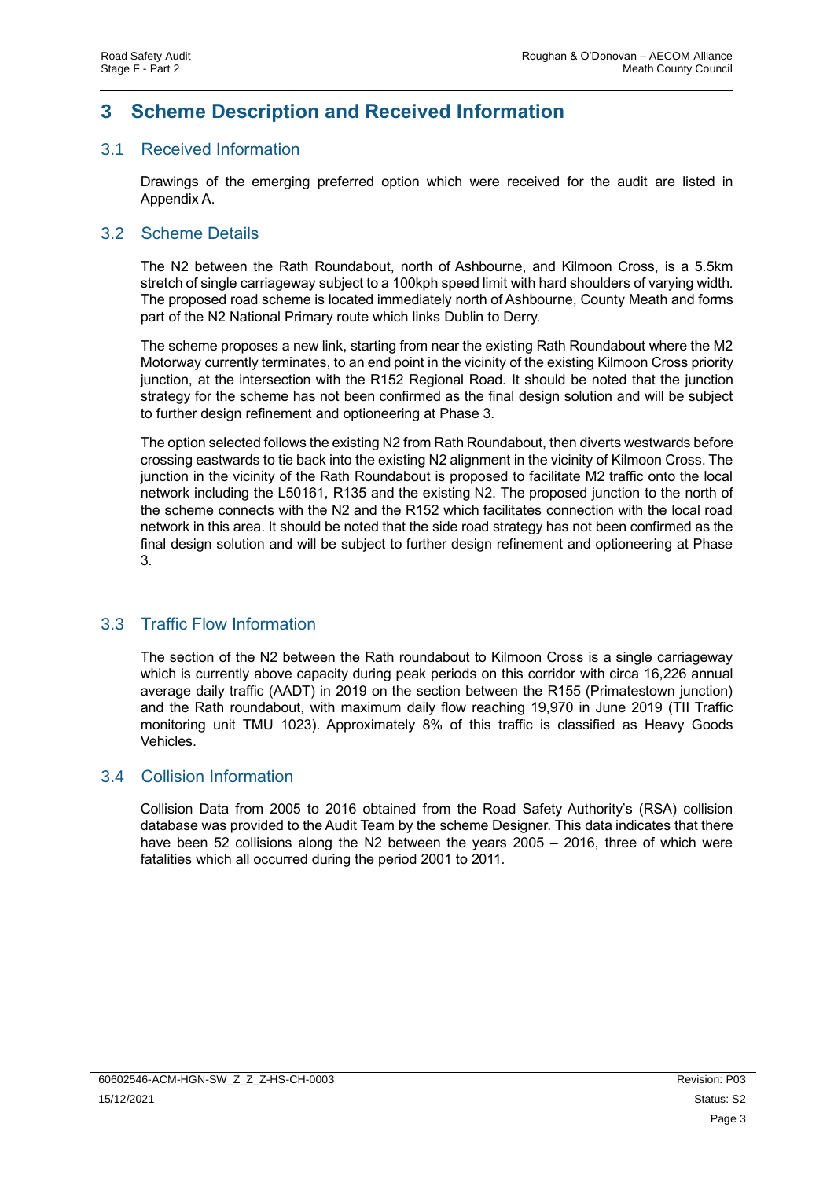# <span id="page-5-0"></span>**3 Scheme Description and Received Information**

#### <span id="page-5-1"></span>3.1 Received Information

Drawings of the emerging preferred option which were received for the audit are listed in Appendix A.

#### <span id="page-5-2"></span>3.2 Scheme Details

The N2 between the Rath Roundabout, north of Ashbourne, and Kilmoon Cross, is a 5.5km stretch of single carriageway subject to a 100kph speed limit with hard shoulders of varying width. The proposed road scheme is located immediately north of Ashbourne, County Meath and forms part of the N2 National Primary route which links Dublin to Derry.

The scheme proposes a new link, starting from near the existing Rath Roundabout where the M2 Motorway currently terminates, to an end point in the vicinity of the existing Kilmoon Cross priority junction, at the intersection with the R152 Regional Road. It should be noted that the junction strategy for the scheme has not been confirmed as the final design solution and will be subject to further design refinement and optioneering at Phase 3.

The option selected follows the existing N2 from Rath Roundabout, then diverts westwards before crossing eastwards to tie back into the existing N2 alignment in the vicinity of Kilmoon Cross. The junction in the vicinity of the Rath Roundabout is proposed to facilitate M2 traffic onto the local network including the L50161, R135 and the existing N2. The proposed junction to the north of the scheme connects with the N2 and the R152 which facilitates connection with the local road network in this area. It should be noted that the side road strategy has not been confirmed as the final design solution and will be subject to further design refinement and optioneering at Phase 3.

### <span id="page-5-3"></span>3.3 Traffic Flow Information

The section of the N2 between the Rath roundabout to Kilmoon Cross is a single carriageway which is currently above capacity during peak periods on this corridor with circa 16,226 annual average daily traffic (AADT) in 2019 on the section between the R155 (Primatestown junction) and the Rath roundabout, with maximum daily flow reaching 19,970 in June 2019 (TII Traffic monitoring unit TMU 1023). Approximately 8% of this traffic is classified as Heavy Goods Vehicles.

#### <span id="page-5-4"></span>3.4 Collision Information

Collision Data from 2005 to 2016 obtained from the Road Safety Authority's (RSA) collision database was provided to the Audit Team by the scheme Designer. This data indicates that there have been 52 collisions along the N2 between the years 2005 – 2016, three of which were fatalities which all occurred during the period 2001 to 2011*.*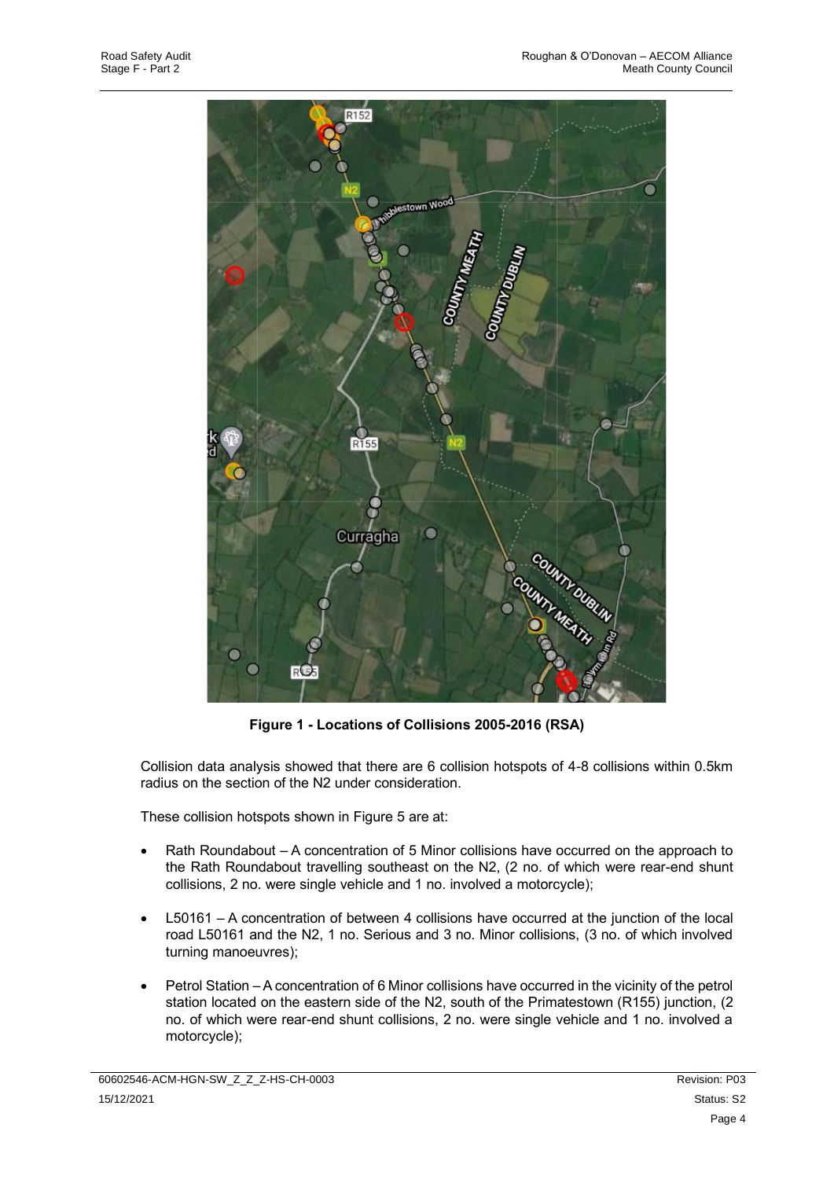

**Figure 1 - Locations of Collisions 2005-2016 (RSA)**

Collision data analysis showed that there are 6 collision hotspots of 4-8 collisions within 0.5km radius on the section of the N2 under consideration.

These collision hotspots shown in Figure 5 are at:

- Rath Roundabout A concentration of 5 Minor collisions have occurred on the approach to the Rath Roundabout travelling southeast on the N2, (2 no. of which were rear-end shunt collisions, 2 no. were single vehicle and 1 no. involved a motorcycle);
- L50161 A concentration of between 4 collisions have occurred at the junction of the local road L50161 and the N2, 1 no. Serious and 3 no. Minor collisions, (3 no. of which involved turning manoeuvres);
- Petrol Station –A concentration of 6 Minor collisions have occurred in the vicinity of the petrol station located on the eastern side of the N2, south of the Primatestown (R155) junction, (2 no. of which were rear-end shunt collisions, 2 no. were single vehicle and 1 no. involved a motorcycle);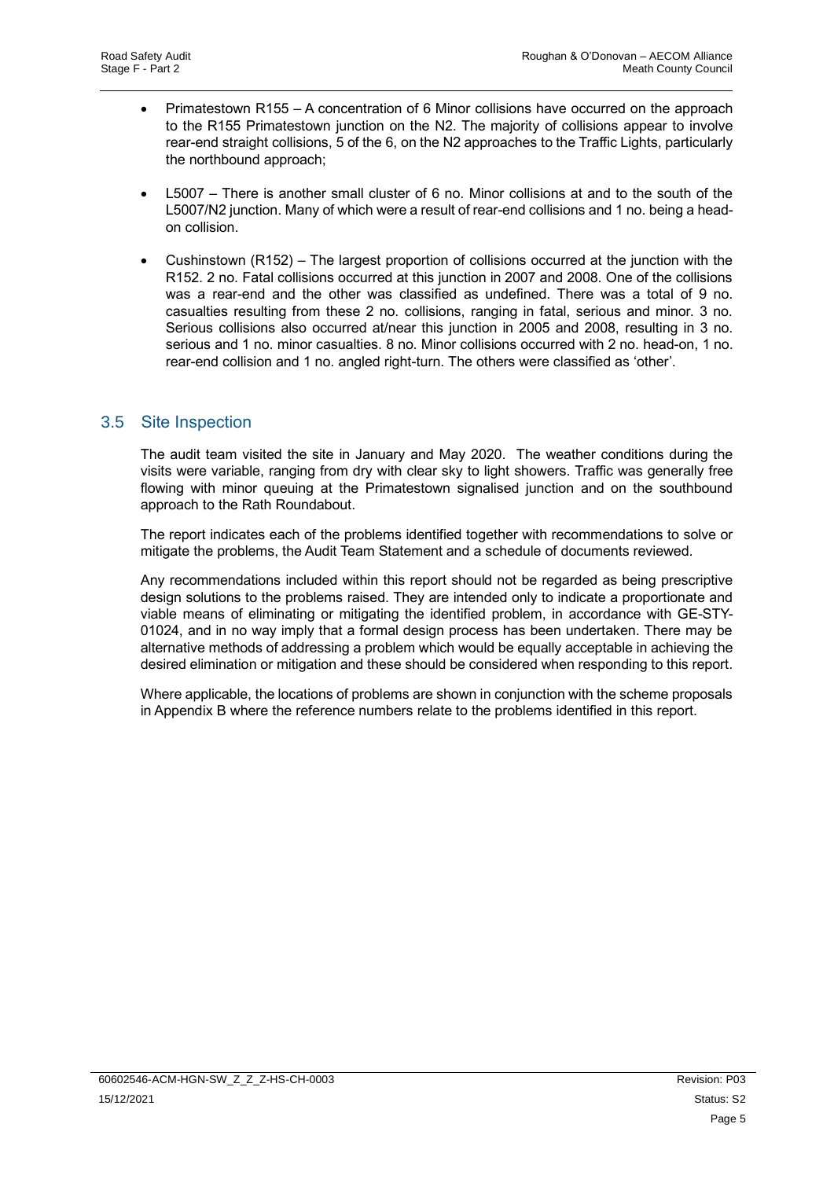- Primatestown R155 A concentration of 6 Minor collisions have occurred on the approach to the R155 Primatestown junction on the N2. The majority of collisions appear to involve rear-end straight collisions, 5 of the 6, on the N2 approaches to the Traffic Lights, particularly the northbound approach;
- L5007 There is another small cluster of 6 no. Minor collisions at and to the south of the L5007/N2 junction. Many of which were a result of rear-end collisions and 1 no. being a headon collision.
- Cushinstown (R152) The largest proportion of collisions occurred at the junction with the R152. 2 no. Fatal collisions occurred at this junction in 2007 and 2008. One of the collisions was a rear-end and the other was classified as undefined. There was a total of 9 no. casualties resulting from these 2 no. collisions, ranging in fatal, serious and minor. 3 no. Serious collisions also occurred at/near this junction in 2005 and 2008, resulting in 3 no. serious and 1 no. minor casualties. 8 no. Minor collisions occurred with 2 no. head-on, 1 no. rear-end collision and 1 no. angled right-turn. The others were classified as 'other'.

### <span id="page-7-0"></span>3.5 Site Inspection

The audit team visited the site in January and May 2020. The weather conditions during the visits were variable, ranging from dry with clear sky to light showers. Traffic was generally free flowing with minor queuing at the Primatestown signalised junction and on the southbound approach to the Rath Roundabout.

The report indicates each of the problems identified together with recommendations to solve or mitigate the problems, the Audit Team Statement and a schedule of documents reviewed.

Any recommendations included within this report should not be regarded as being prescriptive design solutions to the problems raised. They are intended only to indicate a proportionate and viable means of eliminating or mitigating the identified problem, in accordance with GE-STY-01024, and in no way imply that a formal design process has been undertaken. There may be alternative methods of addressing a problem which would be equally acceptable in achieving the desired elimination or mitigation and these should be considered when responding to this report.

Where applicable, the locations of problems are shown in conjunction with the scheme proposals in Appendix B where the reference numbers relate to the problems identified in this report.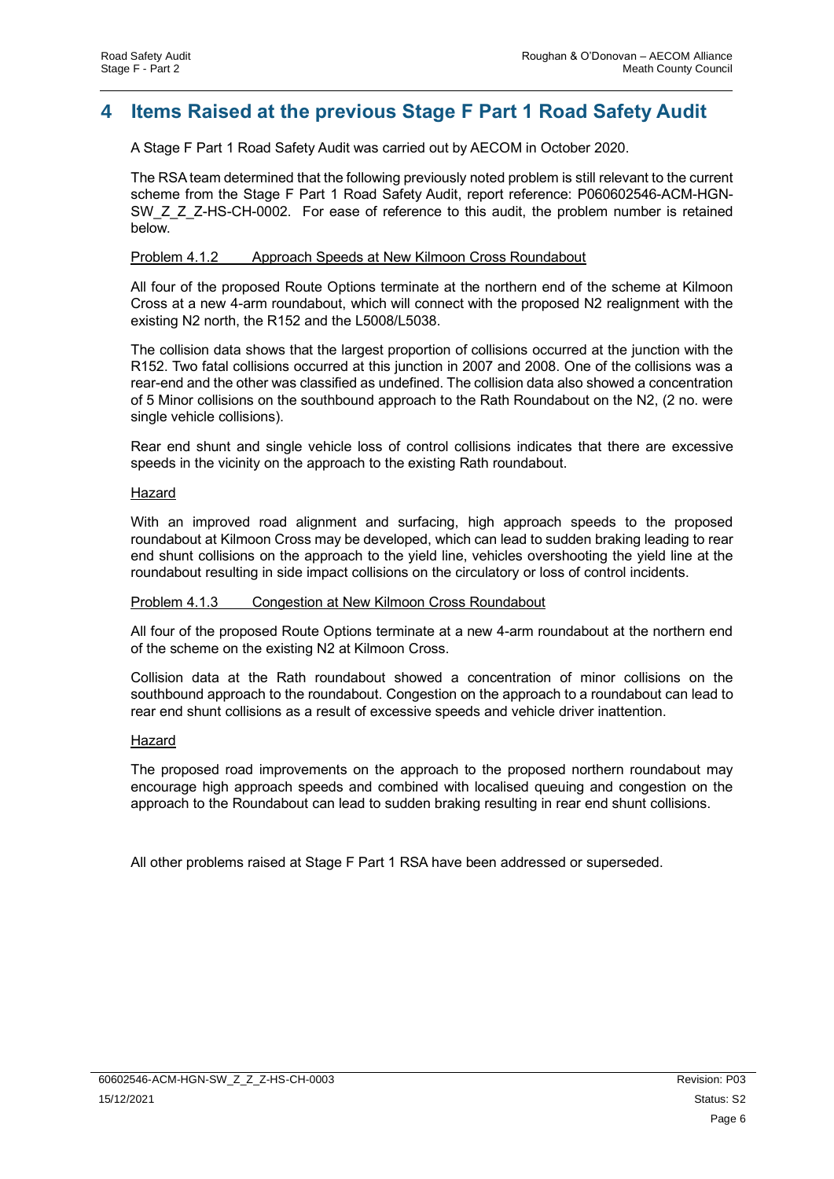## <span id="page-8-0"></span>**4 Items Raised at the previous Stage F Part 1 Road Safety Audit**

A Stage F Part 1 Road Safety Audit was carried out by AECOM in October 2020.

The RSA team determined that the following previously noted problem is still relevant to the current scheme from the Stage F Part 1 Road Safety Audit, report reference: P060602546-ACM-HGN-SW\_Z\_Z\_Z-HS-CH-0002. For ease of reference to this audit, the problem number is retained below.

#### Problem 4.1.2 Approach Speeds at New Kilmoon Cross Roundabout

All four of the proposed Route Options terminate at the northern end of the scheme at Kilmoon Cross at a new 4-arm roundabout, which will connect with the proposed N2 realignment with the existing N2 north, the R152 and the L5008/L5038.

The collision data shows that the largest proportion of collisions occurred at the junction with the R152. Two fatal collisions occurred at this junction in 2007 and 2008. One of the collisions was a rear-end and the other was classified as undefined. The collision data also showed a concentration of 5 Minor collisions on the southbound approach to the Rath Roundabout on the N2, (2 no. were single vehicle collisions).

Rear end shunt and single vehicle loss of control collisions indicates that there are excessive speeds in the vicinity on the approach to the existing Rath roundabout.

#### Hazard

With an improved road alignment and surfacing, high approach speeds to the proposed roundabout at Kilmoon Cross may be developed, which can lead to sudden braking leading to rear end shunt collisions on the approach to the yield line, vehicles overshooting the yield line at the roundabout resulting in side impact collisions on the circulatory or loss of control incidents.

#### Problem 4.1.3 Congestion at New Kilmoon Cross Roundabout

All four of the proposed Route Options terminate at a new 4-arm roundabout at the northern end of the scheme on the existing N2 at Kilmoon Cross.

Collision data at the Rath roundabout showed a concentration of minor collisions on the southbound approach to the roundabout. Congestion on the approach to a roundabout can lead to rear end shunt collisions as a result of excessive speeds and vehicle driver inattention.

#### Hazard

The proposed road improvements on the approach to the proposed northern roundabout may encourage high approach speeds and combined with localised queuing and congestion on the approach to the Roundabout can lead to sudden braking resulting in rear end shunt collisions.

All other problems raised at Stage F Part 1 RSA have been addressed or superseded.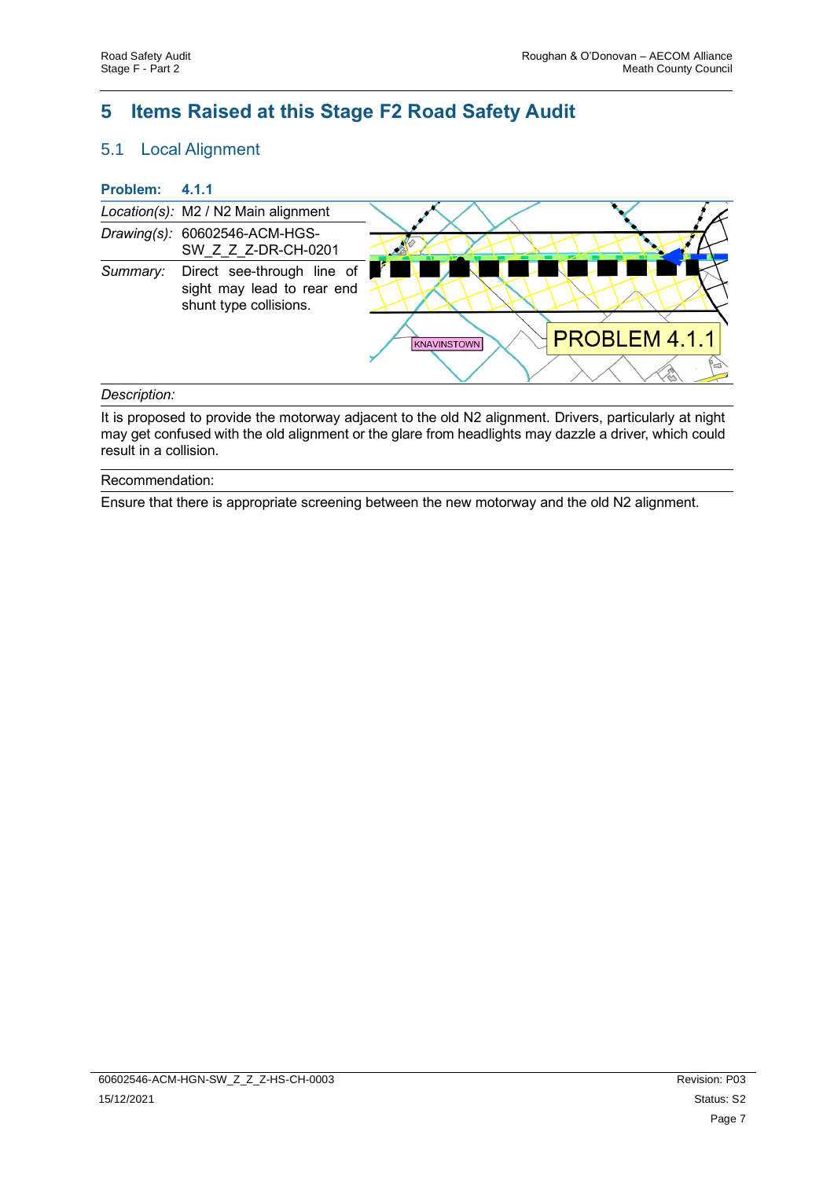# <span id="page-9-0"></span>**5 Items Raised at this Stage F2 Road Safety Audit**

## <span id="page-9-1"></span>5.1 Local Alignment

| <b>Problem:</b> | 4.1.1                                                                              |                              |
|-----------------|------------------------------------------------------------------------------------|------------------------------|
|                 | Location(s): M2 / N2 Main alignment                                                |                              |
|                 | Drawing(s): 60602546-ACM-HGS-<br>SW Z Z Z-DR-CH-0201                               | <b>THE REPORT OF STRAIN</b>  |
| Summary:        | Direct see-through line of<br>sight may lead to rear end<br>shunt type collisions. |                              |
|                 |                                                                                    | PROBLEM 4.1.1<br>KNAVINSTOWN |
|                 |                                                                                    |                              |

#### *Description:*

It is proposed to provide the motorway adjacent to the old N2 alignment. Drivers, particularly at night may get confused with the old alignment or the glare from headlights may dazzle a driver, which could result in a collision.

#### Recommendation:

Ensure that there is appropriate screening between the new motorway and the old N2 alignment.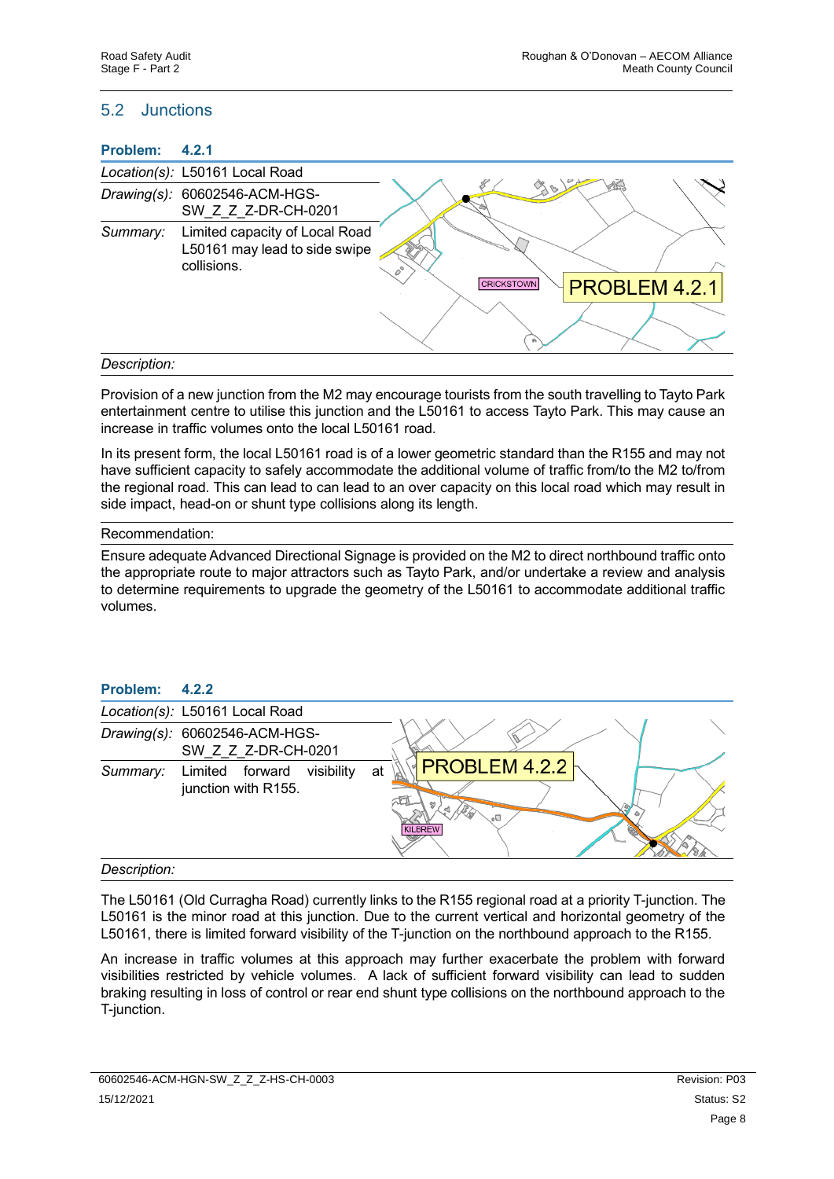### <span id="page-10-0"></span>5.2 Junctions

| Problem:       | 4.2.1                                                                          |                                    |
|----------------|--------------------------------------------------------------------------------|------------------------------------|
|                | Location(s): L50161 Local Road                                                 |                                    |
|                | Drawing(s): 60602546-ACM-HGS-<br>SW Z Z Z-DR-CH-0201                           |                                    |
| Summary:       | Limited capacity of Local Road<br>L50161 may lead to side swipe<br>collisions. | PROBLEM 4.2.1<br><b>CRICKSTOWN</b> |
| $Daccription+$ |                                                                                |                                    |

#### *Description:*

Provision of a new junction from the M2 may encourage tourists from the south travelling to Tayto Park entertainment centre to utilise this junction and the L50161 to access Tayto Park. This may cause an increase in traffic volumes onto the local L50161 road.

In its present form, the local L50161 road is of a lower geometric standard than the R155 and may not have sufficient capacity to safely accommodate the additional volume of traffic from/to the M2 to/from the regional road. This can lead to can lead to an over capacity on this local road which may result in side impact, head-on or shunt type collisions along its length.

#### Recommendation:

Ensure adequate Advanced Directional Signage is provided on the M2 to direct northbound traffic onto the appropriate route to major attractors such as Tayto Park, and/or undertake a review and analysis to determine requirements to upgrade the geometry of the L50161 to accommodate additional traffic volumes.

| Problem: | 4.2.2                                                |                                             |
|----------|------------------------------------------------------|---------------------------------------------|
|          | Location(s): L50161 Local Road                       |                                             |
|          | Drawing(s): 60602546-ACM-HGS-<br>SW Z Z Z-DR-CH-0201 |                                             |
| Summary: | visibility<br>Limited forward<br>junction with R155. | <b>PROBLEM 4.2.2</b><br>at<br>оU<br>KILBREW |

#### *Description:*

The L50161 (Old Curragha Road) currently links to the R155 regional road at a priority T-junction. The L50161 is the minor road at this junction. Due to the current vertical and horizontal geometry of the L50161, there is limited forward visibility of the T-junction on the northbound approach to the R155.

An increase in traffic volumes at this approach may further exacerbate the problem with forward visibilities restricted by vehicle volumes. A lack of sufficient forward visibility can lead to sudden braking resulting in loss of control or rear end shunt type collisions on the northbound approach to the T-junction.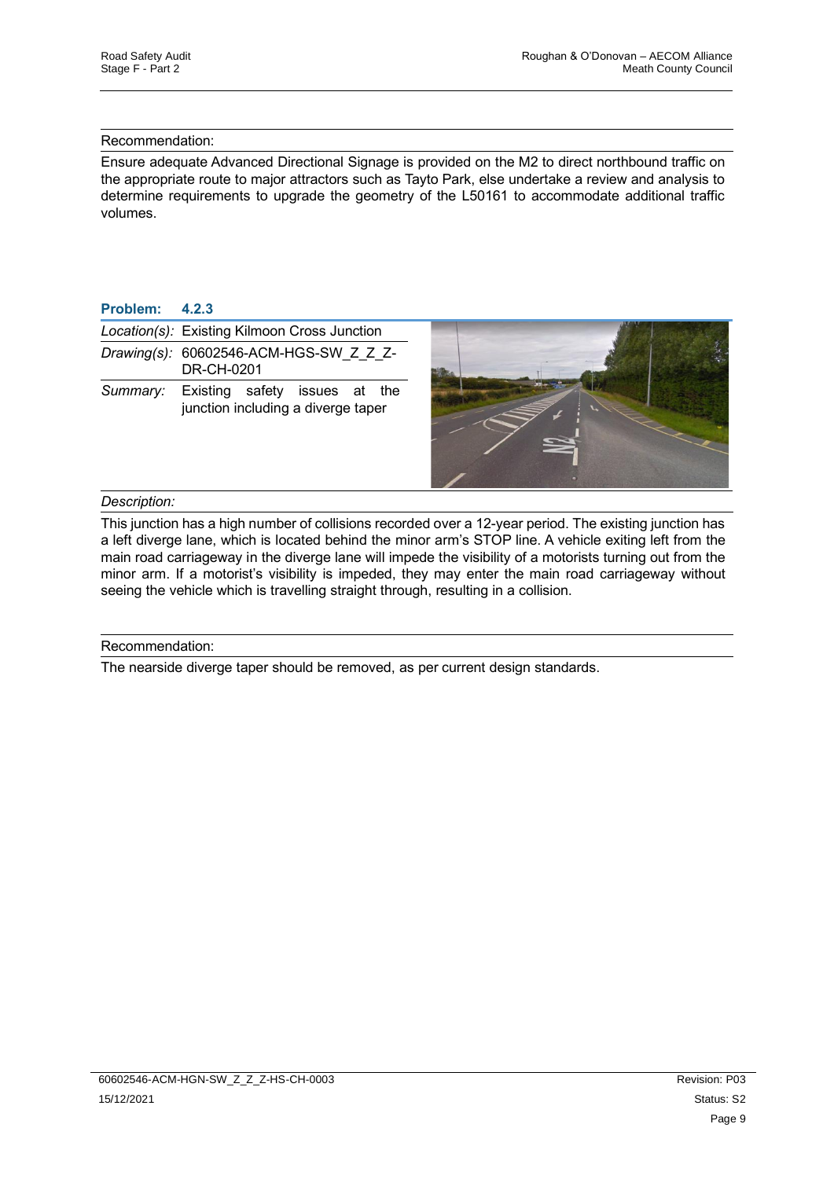#### Recommendation:

Ensure adequate Advanced Directional Signage is provided on the M2 to direct northbound traffic on the appropriate route to major attractors such as Tayto Park, else undertake a review and analysis to determine requirements to upgrade the geometry of the L50161 to accommodate additional traffic volumes.

#### **Problem: 4.2.3**

|          | Location(s): Existing Kilmoon Cross Junction                        |  |
|----------|---------------------------------------------------------------------|--|
|          | Drawing(s): 60602546-ACM-HGS-SW Z Z Z-<br>DR-CH-0201                |  |
| Summary: | Existing safety issues at the<br>junction including a diverge taper |  |

#### *Description:*

This junction has a high number of collisions recorded over a 12-year period. The existing junction has a left diverge lane, which is located behind the minor arm's STOP line. A vehicle exiting left from the main road carriageway in the diverge lane will impede the visibility of a motorists turning out from the minor arm. If a motorist's visibility is impeded, they may enter the main road carriageway without seeing the vehicle which is travelling straight through, resulting in a collision.

#### Recommendation:

The nearside diverge taper should be removed, as per current design standards.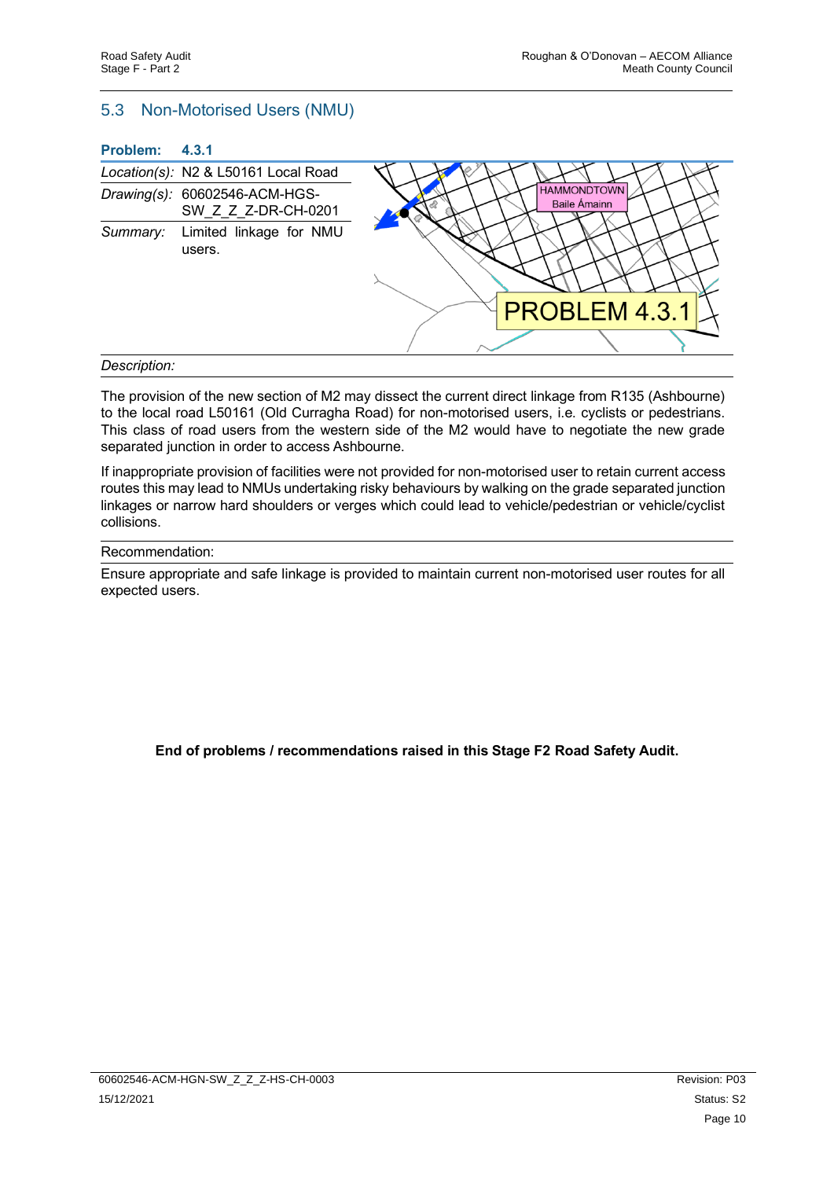#### <span id="page-12-0"></span>5.3 Non-Motorised Users (NMU)

|  | <b>Problem:</b> |  | 4.3.1 |
|--|-----------------|--|-------|
|--|-----------------|--|-------|

|              | Location(s): N2 & L50161 Local Road                  |                                           |
|--------------|------------------------------------------------------|-------------------------------------------|
|              | Drawing(s): 60602546-ACM-HGS-<br>SW Z Z Z-DR-CH-0201 | <b>HAMMONDTOWN</b><br><b>Baile Ámainn</b> |
| Summary:     | Limited linkage for NMU<br>users.                    | <b>PROBLEM 4.3.1</b>                      |
| Description: |                                                      |                                           |

The provision of the new section of M2 may dissect the current direct linkage from R135 (Ashbourne) to the local road L50161 (Old Curragha Road) for non-motorised users, i.e. cyclists or pedestrians. This class of road users from the western side of the M2 would have to negotiate the new grade separated junction in order to access Ashbourne.

If inappropriate provision of facilities were not provided for non-motorised user to retain current access routes this may lead to NMUs undertaking risky behaviours by walking on the grade separated junction linkages or narrow hard shoulders or verges which could lead to vehicle/pedestrian or vehicle/cyclist collisions.

#### Recommendation:

Ensure appropriate and safe linkage is provided to maintain current non-motorised user routes for all expected users.

**End of problems / recommendations raised in this Stage F2 Road Safety Audit.**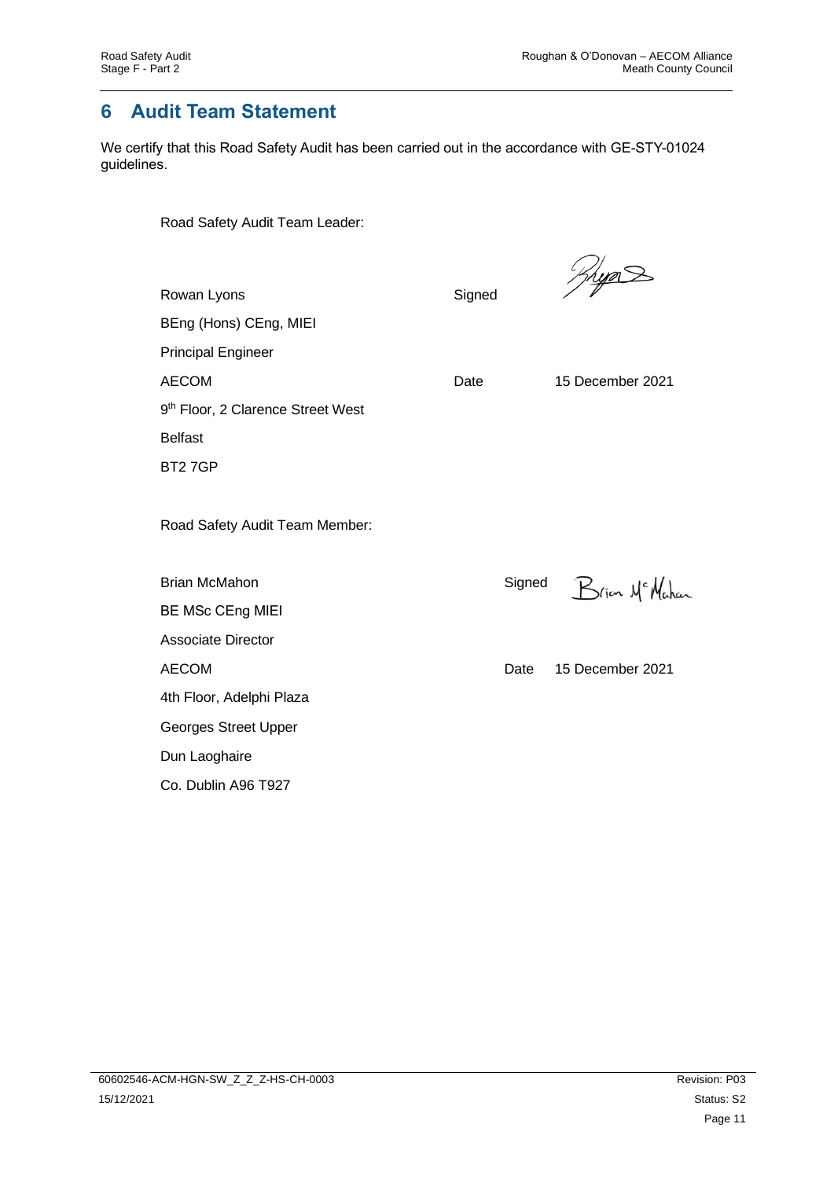# <span id="page-13-0"></span>**6 Audit Team Statement**

We certify that this Road Safety Audit has been carried out in the accordance with GE-STY-01024 guidelines.

Road Safety Audit Team Leader:

| Rowan Lyons                                   | Signed | <u> Jrya<math>\geq</math></u> |
|-----------------------------------------------|--------|-------------------------------|
| BEng (Hons) CEng, MIEI                        |        |                               |
| <b>Principal Engineer</b>                     |        |                               |
| <b>AECOM</b>                                  | Date   | 15 December 2021              |
| 9 <sup>th</sup> Floor, 2 Clarence Street West |        |                               |
| <b>Belfast</b>                                |        |                               |
| BT27GP                                        |        |                               |
| Road Safety Audit Team Member:                |        |                               |
| <b>Brian McMahon</b>                          | Signed | Brian Mc Mahan                |
| <b>BE MSc CEng MIEI</b>                       |        |                               |
| <b>Associate Director</b>                     |        |                               |
| <b>AECOM</b>                                  | Date   | 15 December 2021              |
| 4th Floor, Adelphi Plaza                      |        |                               |
| Georges Street Upper                          |        |                               |
| Dun Laoghaire                                 |        |                               |
| Co. Dublin A96 T927                           |        |                               |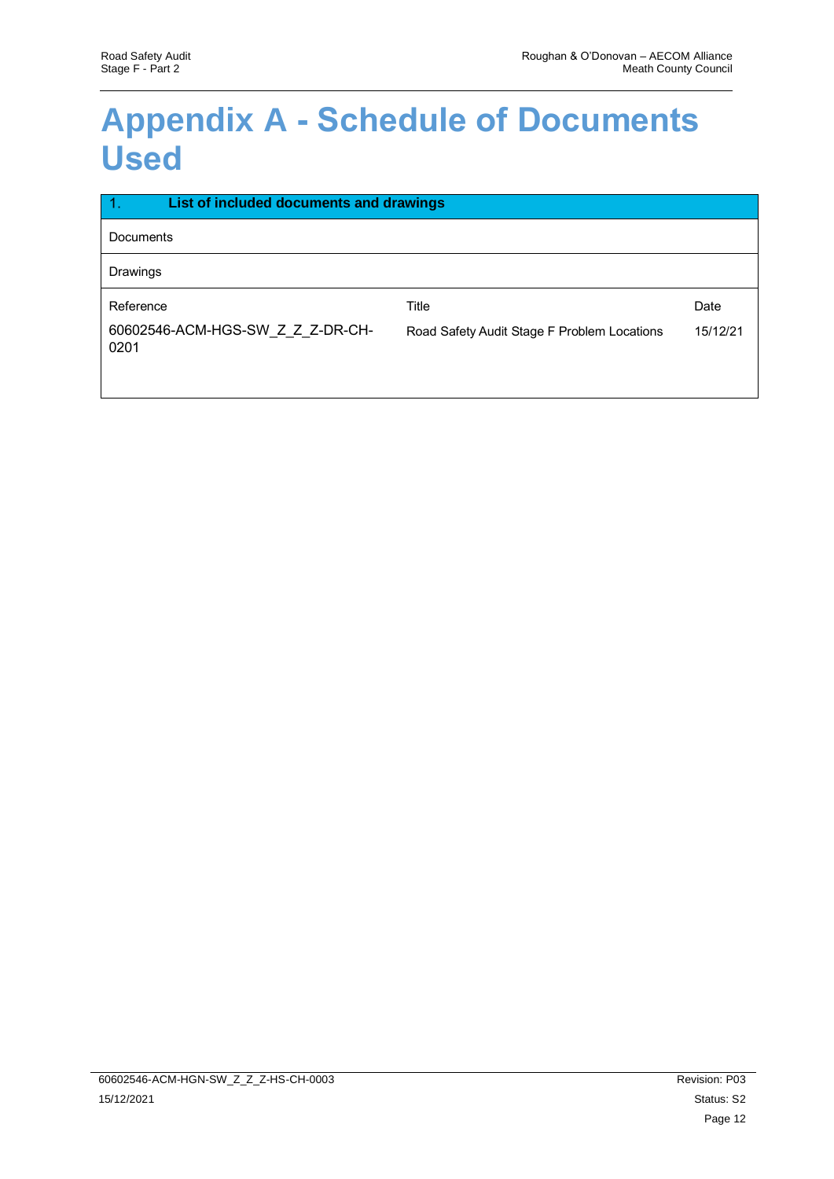# <span id="page-14-0"></span>**Appendix A - Schedule of Documents Used**

| $\overline{1}$ .<br>List of included documents and drawings |                                             |          |
|-------------------------------------------------------------|---------------------------------------------|----------|
| Documents                                                   |                                             |          |
| Drawings                                                    |                                             |          |
| Reference                                                   | Title                                       | Date     |
| 60602546-ACM-HGS-SW Z Z Z-DR-CH-<br>0201                    | Road Safety Audit Stage F Problem Locations | 15/12/21 |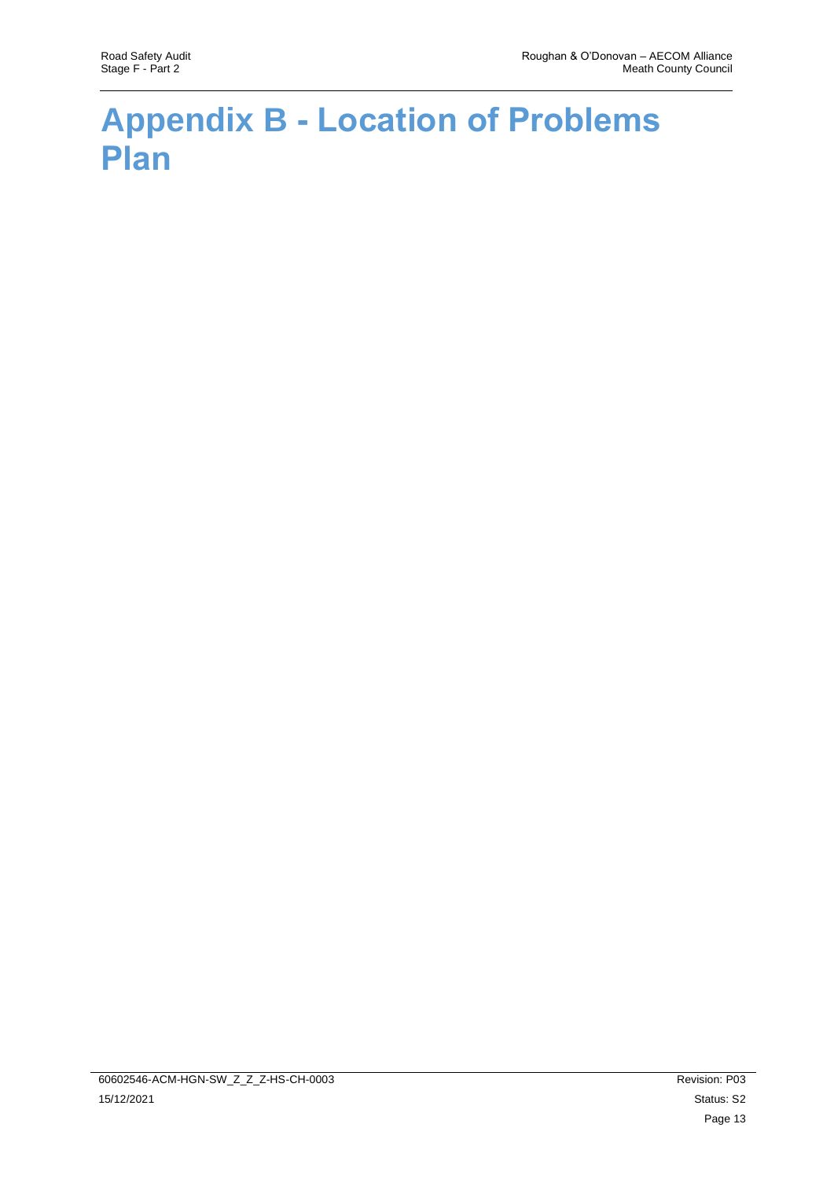# <span id="page-15-0"></span>**Appendix B - Location of Problems Plan**